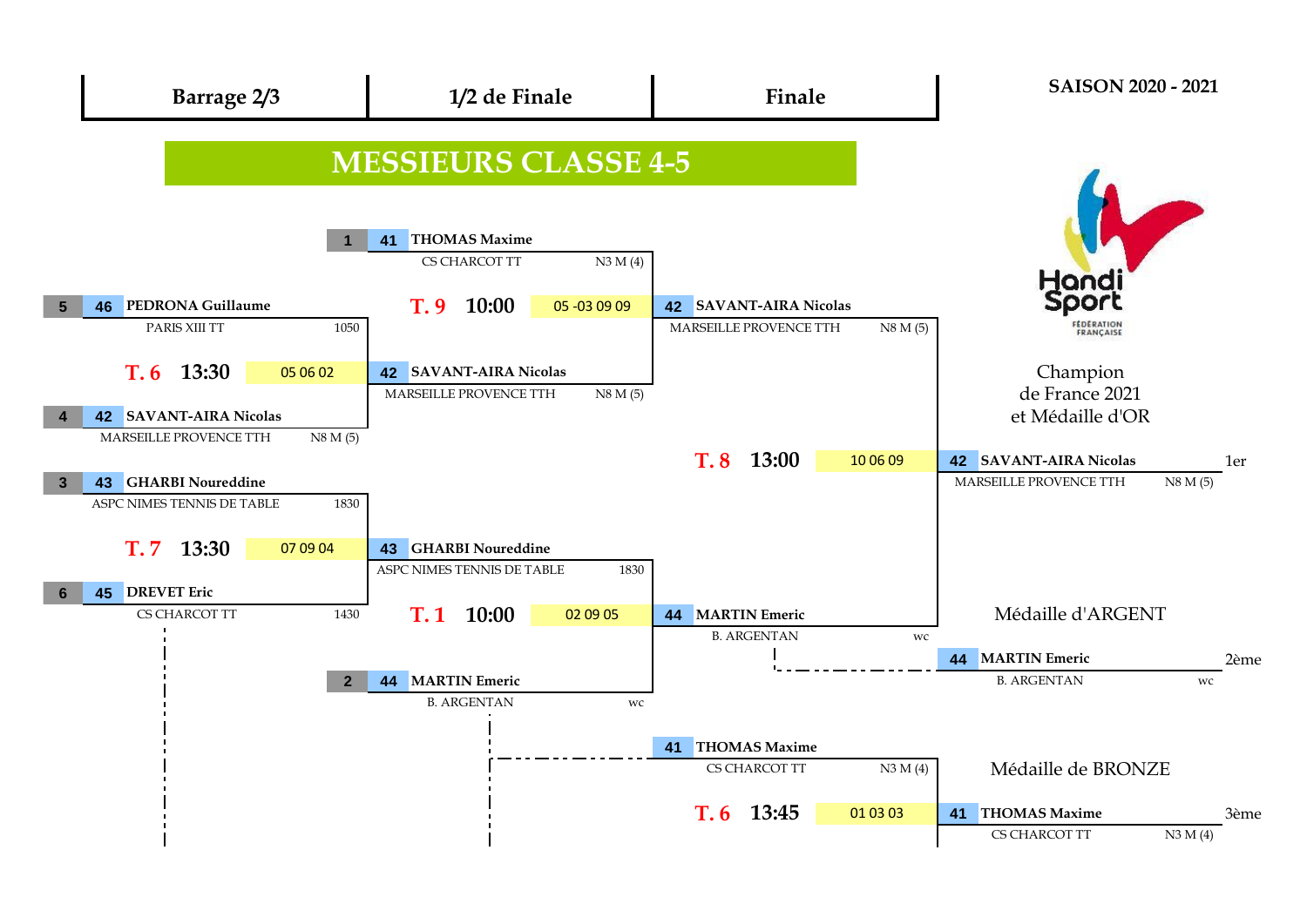